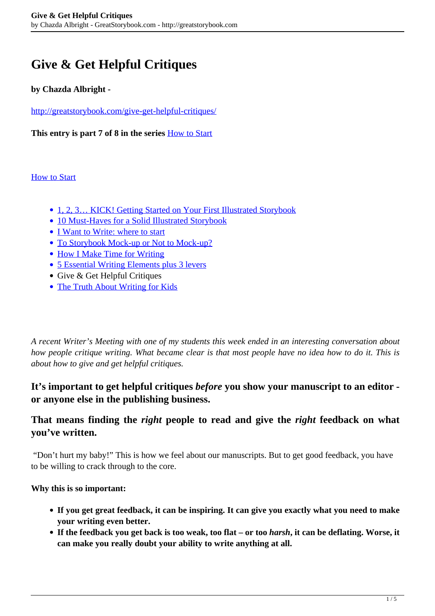# **Give & Get Helpful Critiques**

#### **by Chazda Albright -**

<http://greatstorybook.com/give-get-helpful-critiques/>

**This entry is part 7 of 8 in the series** [How to Start](http://greatstorybook.com/series/how-to-start/)

#### **[How to Start](http://greatstorybook.com/series/how-to-start/)**

- 1, 2, 3... KICK! Getting Started on Your First Illustrated Storybook
- [10 Must-Haves for a Solid Illustrated Storybook](http://greatstorybook.com/10-must-haves-for-a-solid-illustrated-storybook/)
- [I Want to Write: where to start](http://greatstorybook.com/i-want-to-write-where-to-start/)
- [To Storybook Mock-up or Not to Mock-up?](http://greatstorybook.com/to-storybook-mock-up-or-not-to-mock-up/)
- [How I Make Time for Writing](http://greatstorybook.com/make-time-writing/)
- [5 Essential Writing Elements plus 3 levers](http://greatstorybook.com/5-essential-writing-elements/)
- Give & Get Helpful Critiques
- [The Truth About Writing for Kids](http://greatstorybook.com/truth-writing-kids/)

*A recent Writer's Meeting with one of my students this week ended in an interesting conversation about how people critique writing. What became clear is that most people have no idea how to do it. This is about how to give and get helpful critiques.*

#### **It's important to get helpful critiques** *before* **you show your manuscript to an editor or anyone else in the publishing business.**

#### **That means finding the** *right* **people to read and give the** *right* **feedback on what you've written.**

 "Don't hurt my baby!" This is how we feel about our manuscripts. But to get good feedback, you have to be willing to crack through to the core.

#### **Why this is so important:**

- **If you get great feedback, it can be inspiring. It can give you exactly what you need to make your writing even better.**
- **If the feedback you get back is too weak, too flat or too** *harsh***, it can be deflating. Worse, it can make you really doubt your ability to write anything at all.**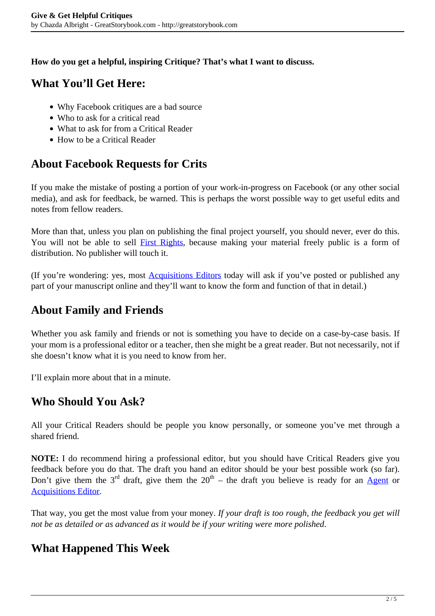**How do you get a helpful, inspiring Critique? That's what I want to discuss.**

## **What You'll Get Here:**

- Why Facebook critiques are a bad source
- Who to ask for a critical read
- What to ask for from a Critical Reader
- How to be a Critical Reader

## **About Facebook Requests for Crits**

If you make the mistake of posting a portion of your work-in-progress on Facebook (or any other social media), and ask for feedback, be warned. This is perhaps the worst possible way to get useful edits and notes from fellow readers.

More than that, unless you plan on publishing the final project yourself, you should never, ever do this. You will not be able to sell **First Rights**, because making your material freely public is a form of distribution. No publisher will touch it.

(If you're wondering: yes, most [Acquisitions Editors](http://greatstorybook.com/the-9-types-of-editors/) today will ask if you've posted or published any part of your manuscript online and they'll want to know the form and function of that in detail.)

## **About Family and Friends**

Whether you ask family and friends or not is something you have to decide on a case-by-case basis. If your mom is a professional editor or a teacher, then she might be a great reader. But not necessarily, not if she doesn't know what it is you need to know from her.

I'll explain more about that in a minute.

### **Who Should You Ask?**

All your Critical Readers should be people you know personally, or someone you've met through a shared friend.

**NOTE:** I do recommend hiring a professional editor, but you should have Critical Readers give you feedback before you do that. The draft you hand an editor should be your best possible work (so far). Don't give them the  $3<sup>rd</sup>$  draft, give them the  $20<sup>th</sup>$  – the draft you believe is ready for an [Agent](http://greatstorybook.com/agent-savvy/) or [Acquisitions Editor](http://greatstorybook.com/the-9-types-of-editors/).

That way, you get the most value from your money. *If your draft is too rough, the feedback you get will not be as detailed or as advanced as it would be if your writing were more polished*.

## **What Happened This Week**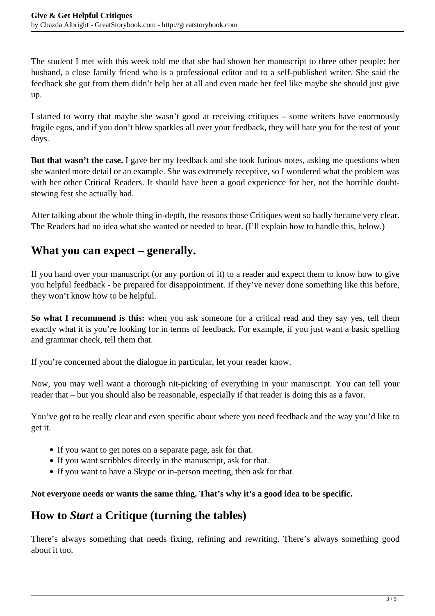The student I met with this week told me that she had shown her manuscript to three other people: her husband, a close family friend who is a professional editor and to a self-published writer. She said the feedback she got from them didn't help her at all and even made her feel like maybe she should just give up.

I started to worry that maybe she wasn't good at receiving critiques – some writers have enormously fragile egos, and if you don't blow sparkles all over your feedback, they will hate you for the rest of your days.

**But that wasn't the case.** I gave her my feedback and she took furious notes, asking me questions when she wanted more detail or an example. She was extremely receptive, so I wondered what the problem was with her other Critical Readers. It should have been a good experience for her, not the horrible doubtstewing fest she actually had.

After talking about the whole thing in-depth, the reasons those Critiques went so badly became very clear. The Readers had no idea what she wanted or needed to hear. (I'll explain how to handle this, below.)

### **What you can expect – generally.**

If you hand over your manuscript (or any portion of it) to a reader and expect them to know how to give you helpful feedback - be prepared for disappointment. If they've never done something like this before, they won't know how to be helpful.

**So what I recommend is this:** when you ask someone for a critical read and they say yes, tell them exactly what it is you're looking for in terms of feedback. For example, if you just want a basic spelling and grammar check, tell them that.

If you're concerned about the dialogue in particular, let your reader know.

Now, you may well want a thorough nit-picking of everything in your manuscript. You can tell your reader that – but you should also be reasonable, especially if that reader is doing this as a favor.

You've got to be really clear and even specific about where you need feedback and the way you'd like to get it.

- If you want to get notes on a separate page, ask for that.
- If you want scribbles directly in the manuscript, ask for that.
- If you want to have a Skype or in-person meeting, then ask for that.

#### **Not everyone needs or wants the same thing. That's why it's a good idea to be specific.**

### **How to** *Start* **a Critique (turning the tables)**

There's always something that needs fixing, refining and rewriting. There's always something good about it too.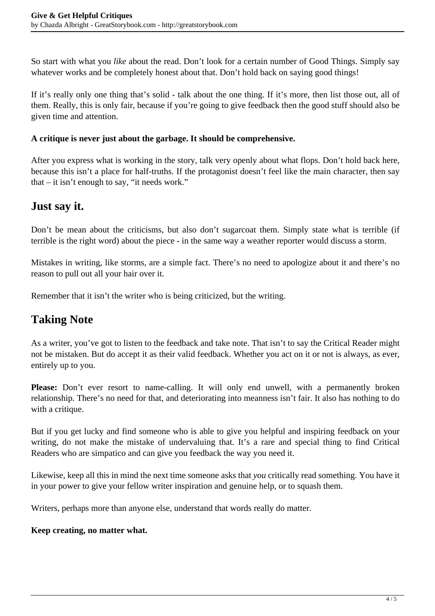So start with what you *like* about the read. Don't look for a certain number of Good Things. Simply say whatever works and be completely honest about that. Don't hold back on saying good things!

If it's really only one thing that's solid - talk about the one thing. If it's more, then list those out, all of them. Really, this is only fair, because if you're going to give feedback then the good stuff should also be given time and attention.

#### **A critique is never just about the garbage. It should be comprehensive.**

After you express what is working in the story, talk very openly about what flops. Don't hold back here, because this isn't a place for half-truths. If the protagonist doesn't feel like the main character, then say that – it isn't enough to say, "it needs work."

### **Just say it.**

Don't be mean about the criticisms, but also don't sugarcoat them. Simply state what is terrible (if terrible is the right word) about the piece - in the same way a weather reporter would discuss a storm.

Mistakes in writing, like storms, are a simple fact. There's no need to apologize about it and there's no reason to pull out all your hair over it.

Remember that it isn't the writer who is being criticized, but the writing.

## **Taking Note**

As a writer, you've got to listen to the feedback and take note. That isn't to say the Critical Reader might not be mistaken. But do accept it as their valid feedback. Whether you act on it or not is always, as ever, entirely up to you.

Please: Don't ever resort to name-calling. It will only end unwell, with a permanently broken relationship. There's no need for that, and deteriorating into meanness isn't fair. It also has nothing to do with a critique.

But if you get lucky and find someone who is able to give you helpful and inspiring feedback on your writing, do not make the mistake of undervaluing that. It's a rare and special thing to find Critical Readers who are simpatico and can give you feedback the way you need it.

Likewise, keep all this in mind the next time someone asks that *you* critically read something. You have it in your power to give your fellow writer inspiration and genuine help, or to squash them.

Writers, perhaps more than anyone else, understand that words really do matter.

#### **Keep creating, no matter what.**